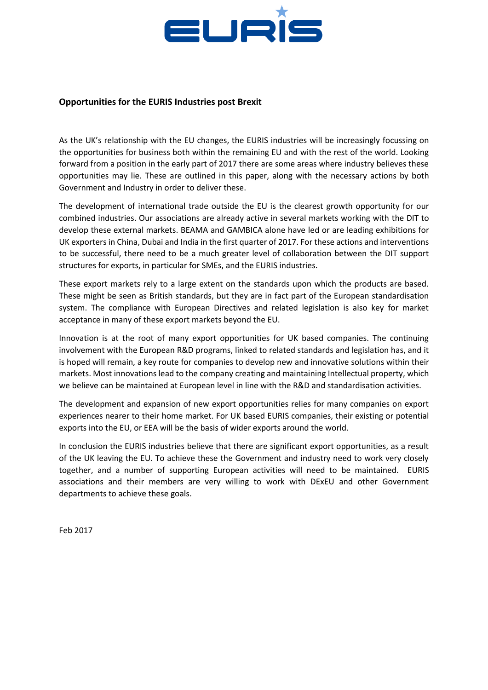

## **Opportunities for the EURIS Industries post Brexit**

As the UK's relationship with the EU changes, the EURIS industries will be increasingly focussing on the opportunities for business both within the remaining EU and with the rest of the world. Looking forward from a position in the early part of 2017 there are some areas where industry believes these opportunities may lie. These are outlined in this paper, along with the necessary actions by both Government and Industry in order to deliver these.

The development of international trade outside the EU is the clearest growth opportunity for our combined industries. Our associations are already active in several markets working with the DIT to develop these external markets. BEAMA and GAMBICA alone have led or are leading exhibitions for UK exporters in China, Dubai and India in the first quarter of 2017. For these actions and interventions to be successful, there need to be a much greater level of collaboration between the DIT support structures for exports, in particular for SMEs, and the EURIS industries.

These export markets rely to a large extent on the standards upon which the products are based. These might be seen as British standards, but they are in fact part of the European standardisation system. The compliance with European Directives and related legislation is also key for market acceptance in many of these export markets beyond the EU.

Innovation is at the root of many export opportunities for UK based companies. The continuing involvement with the European R&D programs, linked to related standards and legislation has, and it is hoped will remain, a key route for companies to develop new and innovative solutions within their markets. Most innovations lead to the company creating and maintaining Intellectual property, which we believe can be maintained at European level in line with the R&D and standardisation activities.

The development and expansion of new export opportunities relies for many companies on export experiences nearer to their home market. For UK based EURIS companies, their existing or potential exports into the EU, or EEA will be the basis of wider exports around the world.

In conclusion the EURIS industries believe that there are significant export opportunities, as a result of the UK leaving the EU. To achieve these the Government and industry need to work very closely together, and a number of supporting European activities will need to be maintained. EURIS associations and their members are very willing to work with DExEU and other Government departments to achieve these goals.

Feb 2017